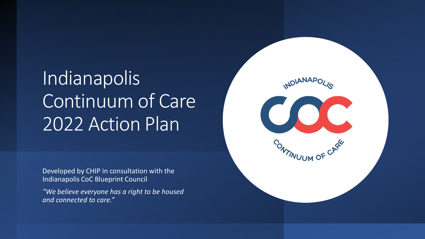# Indianapolis Continuum of Care 2022 Action Plan

Developed by CHIP in consultation with the Indianapolis CoC Blueprint Council

*"We believe everyone has a right to be housed and connected to care."*

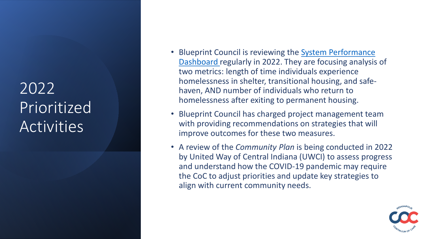### 2022 Prioritized **Activities**

- Blueprint Council is reviewing the System Performance [Dashboard regularly in 2022. They are focusing analysis](https://www.indycoc.org/coc-dashboards-system-performance-dashboard) of two metrics: length of time individuals experience homelessness in shelter, transitional housing, and safe haven, AND number of individuals who return to homelessness after exiting to permanent housing.
- Blueprint Council has charged project management team with providing recommendations on strategies that will improve outcomes for these two measures.
- A review of the *Community Plan* is being conducted in 2022 by United Way of Central Indiana (UWCI) to assess progress and understand how the COVID -19 pandemic may require the CoC to adjust priorities and update key strategies to align with current community needs.

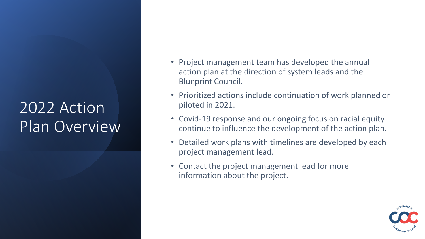# 2022 Action Plan Overview

- Project management team has developed the annual action plan at the direction of system leads and the Blueprint Council.
- Prioritized actions include continuation of work planned or piloted in 2021.
- Covid-19 response and our ongoing focus on racial equity continue to influence the development of the action plan.
- Detailed work plans with timelines are developed by each project management lead.
- Contact the project management lead for more information about the project.

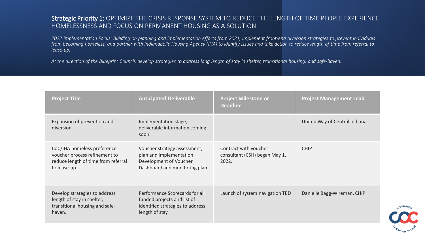#### Strategic Priority 1: OPTIMIZE THE CRISIS RESPONSE SYSTEM TO REDUCE THE LENGTH OF TIME PEOPLE EXPERIENCE HOMELESSNESS AND FOCUS ON PERMANENT HOUSING AS A SOLUTION.

*2022 Implementation Focus: Building on planning and implementation efforts from 2021, implement front-end diversion strategies to prevent individuals from becoming homeless, and partner with Indianapolis Housing Agency (IHA) to identify issues and take action to reduce length of time from referral to lease-up.* 

*At the direction of the Blueprint Council, develop strategies to address long length of stay in shelter, transitional housing, and safe-haven.*

| <b>Project Title</b>                                                                                                | <b>Anticipated Deliverable</b>                                                                                       | <b>Project Milestone or</b><br><b>Deadline</b>                  | <b>Project Management Lead</b> |
|---------------------------------------------------------------------------------------------------------------------|----------------------------------------------------------------------------------------------------------------------|-----------------------------------------------------------------|--------------------------------|
| Expansion of prevention and<br>diversion                                                                            | Implementation stage,<br>deliverable information coming<br>soon                                                      |                                                                 | United Way of Central Indiana  |
| CoC/IHA homeless preference<br>voucher process refinement to<br>reduce length of time from referral<br>to lease-up. | Voucher strategy assessment,<br>plan and implementation.<br>Development of Voucher<br>Dashboard and monitoring plan. | Contract with voucher<br>consultant (CSH) began May 1,<br>2022. | <b>CHIP</b>                    |
| Develop strategies to address<br>length of stay in shelter,<br>transitional housing and safe-<br>haven.             | Performance Scorecards for all<br>funded projects and list of<br>identified strategies to address<br>length of stay  | Launch of system navigation TBD                                 | Danielle Bagg-Wireman, CHIP    |

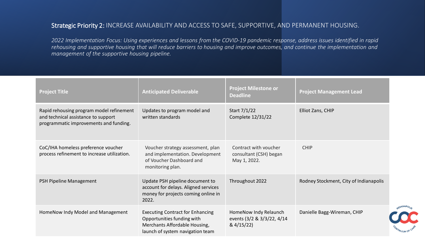#### Strategic Priority 2: INCREASE AVAILABILITY AND ACCESS TO SAFE, SUPPORTIVE, AND PERMANENT HOUSING.

*2022 Implementation Focus: Using experiences and lessons from the COVID-19 pandemic response, address issues identified in rapid rehousing and supportive housing that will reduce barriers to housing and improve outcomes, and continue the implementation and management of the supportive housing pipeline.*

| <b>Project Title</b>                                                                                                      | <b>Anticipated Deliverable</b>                                                                                                             | <b>Project Milestone or</b><br><b>Deadline</b>                    | <b>Project Management Lead</b>         |
|---------------------------------------------------------------------------------------------------------------------------|--------------------------------------------------------------------------------------------------------------------------------------------|-------------------------------------------------------------------|----------------------------------------|
| Rapid rehousing program model refinement<br>and technical assistance to support<br>programmatic improvements and funding. | Updates to program model and<br>written standards                                                                                          | Start 7/1/22<br>Complete 12/31/22                                 | Elliot Zans, CHIP                      |
| CoC/IHA homeless preference voucher<br>process refinement to increase utilization.                                        | Voucher strategy assessment, plan<br>and implementation. Development<br>of Voucher Dashboard and<br>monitoring plan.                       | Contract with voucher<br>consultant (CSH) began<br>May 1, 2022.   | <b>CHIP</b>                            |
| PSH Pipeline Management                                                                                                   | Update PSH pipeline document to<br>account for delays. Aligned services<br>money for projects coming online in<br>2022.                    | Throughout 2022                                                   | Rodney Stockment, City of Indianapolis |
| HomeNow Indy Model and Management                                                                                         | <b>Executing Contract for Enhancing</b><br>Opportunities funding with<br>Merchants Affordable Housing,<br>launch of system navigation team | HomeNow Indy Relaunch<br>events (3/2 & 3/3/22, 4/14<br>& 4/15/22) | Danielle Bagg-Wireman, CHIP            |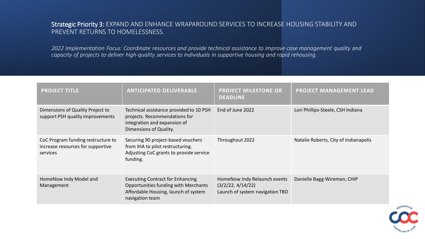#### Strategic Priority 3: EXPAND AND ENHANCE WRAPAROUND SERVICES TO INCREASE HOUSING STABILITY AND PREVENT RETURNS TO HOMELESSNESS.

*2022 Implementation Focus: Coordinate resources and provide technical assistance to improve case management quality and capacity of projects to deliver high-quality services to individuals in supportive housing and rapid rehousing.*

| <b>PROJECT TITLE</b>                                                                | <b>ANTICIPATED DELIVERABLE</b>                                                                                                             | <b>PROJECT MILESTONE OR</b><br><b>DEADLINE</b>                                       | <b>PROJECT MANAGEMENT LEAD</b>        |
|-------------------------------------------------------------------------------------|--------------------------------------------------------------------------------------------------------------------------------------------|--------------------------------------------------------------------------------------|---------------------------------------|
| Dimensions of Quality Project to<br>support PSH quality improvements                | Technical assistance provided to 10 PSH<br>projects. Recommendations for<br>integration and expansion of<br>Dimensions of Quality.         | End of June 2022                                                                     | Lori Phillips-Steele, CSH Indiana     |
| CoC Program funding restructure to<br>increase resources for supportive<br>services | Securing 90 project-based vouchers<br>from IHA to pilot restructuring.<br>Adjusting CoC grants to provide service<br>funding.              | Throughout 2022                                                                      | Natalie Roberts, City of Indianapolis |
| HomeNow Indy Model and<br>Management                                                | <b>Executing Contract for Enhancing</b><br>Opportunities funding with Merchants<br>Affordable Housing, launch of system<br>navigation team | HomeNow Indy Relaunch events<br>(3/2/22, 4/14/22)<br>Launch of system navigation TBD | Danielle Bagg-Wireman, CHIP           |

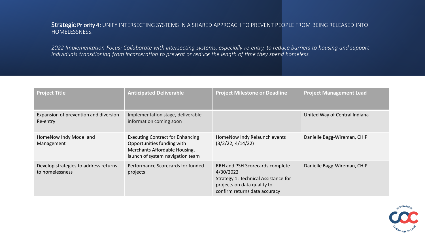Strategic Priority 4: UNIFY INTERSECTING SYSTEMS IN A SHARED APPROACH TO PREVENT PEOPLE FROM BEING RELEASED INTO HOMELESSNESS.

*2022 Implementation Focus: Collaborate with intersecting systems, especially re-entry, to reduce barriers to housing and support individuals transitioning from incarceration to prevent or reduce the length of time they spend homeless.*

| <b>Project Title</b>                                     | <b>Anticipated Deliverable</b>                                                                                                             | <b>Project Milestone or Deadline</b>                                                                                                                 | <b>Project Management Lead</b> |
|----------------------------------------------------------|--------------------------------------------------------------------------------------------------------------------------------------------|------------------------------------------------------------------------------------------------------------------------------------------------------|--------------------------------|
| Expansion of prevention and diversion-<br>Re-entry       | Implementation stage, deliverable<br>information coming soon                                                                               |                                                                                                                                                      | United Way of Central Indiana  |
| HomeNow Indy Model and<br>Management                     | <b>Executing Contract for Enhancing</b><br>Opportunities funding with<br>Merchants Affordable Housing,<br>launch of system navigation team | HomeNow Indy Relaunch events<br>(3/2/22, 4/14/22)                                                                                                    | Danielle Bagg-Wireman, CHIP    |
| Develop strategies to address returns<br>to homelessness | Performance Scorecards for funded<br>projects                                                                                              | RRH and PSH Scorecards complete<br>4/30/2022<br>Strategy 1: Technical Assistance for<br>projects on data quality to<br>confirm returns data accuracy | Danielle Bagg-Wireman, CHIP    |

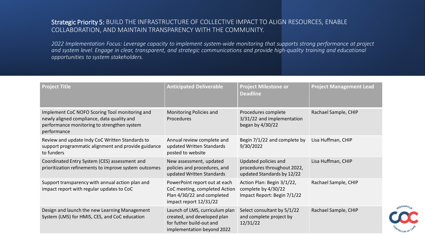#### Strategic Priority 5: BUILD THE INFRASTRUCTURE OF COLLECTIVE IMPACT TO ALIGN RESOURCES, ENABLE COLLABORATION, AND MAINTAIN TRANSPARENCY WITH THE COMMUNITY.

*2022 Implementation Focus: Leverage capacity to implement system-wide monitoring that supports strong performance at project and system level. Engage in clear, transparent, and strategic communications and provide high-quality training and educational opportunities to system stakeholders.*

| <b>Project Title</b>                                                                                                                                       | <b>Anticipated Deliverable</b>                                                                                          | <b>Project Milestone or</b><br><b>Deadline</b>                                    | <b>Project Management Lead</b> |
|------------------------------------------------------------------------------------------------------------------------------------------------------------|-------------------------------------------------------------------------------------------------------------------------|-----------------------------------------------------------------------------------|--------------------------------|
| Implement CoC NOFO Scoring Tool monitoring and<br>newly aligned compliance, data quality and<br>performance monitoring to strengthen system<br>performance | Monitoring Policies and<br>Procedures                                                                                   | Procedures complete<br>3/31/22 and implementation<br>began by 4/30/22             | Rachael Sample, CHIP           |
| Review and update Indy CoC Written Standards to<br>support programmatic alignment and provide guidance<br>to funders                                       | Annual review complete and<br>updated Written Standards<br>posted to website                                            | Begin 7/1/22 and complete by<br>9/30/2022                                         | Lisa Huffman, CHIP             |
| Coordinated Entry System (CES) assessment and<br>prioritization refinements to improve system outcomes                                                     | New assessment, updated<br>policies and procedures, and<br>updated Written Standards                                    | Updated policies and<br>procedures throughout 2022,<br>updated Standards by 12/22 | Lisa Huffman, CHIP             |
| Support transparency with annual action plan and<br>impact report with regular updates to CoC                                                              | PowerPoint report out at each<br>CoC meeting, completed Action<br>Plan 4/30/22 and completed<br>impact report 12/31/22  | Action Plan: Begin 3/1/22,<br>complete by 4/30/22<br>Impact Report: Begin 7/1/22  | Rachael Sample, CHIP           |
| Design and launch the new Learning Management<br>System (LMS) for HMIS, CES, and CoC education                                                             | Launch of LMS, curriculum plan<br>created, and developed plan<br>for futher build-out and<br>implementation beyond 2022 | Select consultant by 5/1/22<br>and complete project by<br>12/31/22                | Rachael Sample, CHIP           |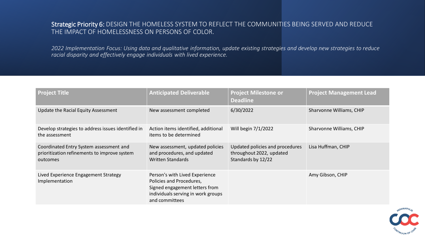#### Strategic Priority 6: DESIGN THE HOMELESS SYSTEM TO REFLECT THE COMMUNITIES BEING SERVED AND REDUCE THE IMPACT OF HOMELESSNESS ON PERSONS OF COLOR.

*2022 Implementation Focus: Using data and qualitative information, update existing strategies and develop new strategies to reduce racial disparity and effectively engage individuals with lived experience.*

| <b>Project Title</b>                                                                                | <b>Anticipated Deliverable</b>                                                                                                                       | <b>Project Milestone or</b><br><b>Deadline</b>                                    | <b>Project Management Lead</b> |
|-----------------------------------------------------------------------------------------------------|------------------------------------------------------------------------------------------------------------------------------------------------------|-----------------------------------------------------------------------------------|--------------------------------|
| Update the Racial Equity Assessment                                                                 | New assessment completed                                                                                                                             | 6/30/2022                                                                         | Sharvonne Williams, CHIP       |
| Develop strategies to address issues identified in<br>the assessment                                | Action items identified, additional<br>items to be determined                                                                                        | Will begin 7/1/2022                                                               | Sharvonne Williams, CHIP       |
| Coordinated Entry System assessment and<br>prioritization refinements to improve system<br>outcomes | New assessment, updated policies<br>and procedures, and updated<br><b>Written Standards</b>                                                          | Updated policies and procedures<br>throughout 2022, updated<br>Standards by 12/22 | Lisa Huffman, CHIP             |
| Lived Experience Engagement Strategy<br>Implementation                                              | Person's with Lived Experience<br>Policies and Procedures,<br>Signed engagement letters from<br>individuals serving in work groups<br>and committees |                                                                                   | Amy Gibson, CHIP               |

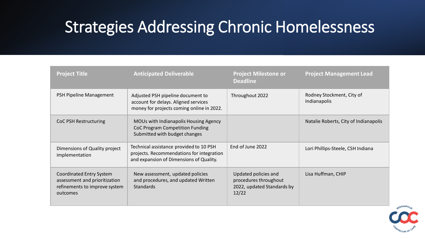### Strategies Addressing Chronic Homelessness

| <b>Project Title</b>                                                                                   | <b>Anticipated Deliverable</b>                                                                                                  | <b>Project Milestone or</b><br><b>Deadline</b>                                       | <b>Project Management Lead</b>            |
|--------------------------------------------------------------------------------------------------------|---------------------------------------------------------------------------------------------------------------------------------|--------------------------------------------------------------------------------------|-------------------------------------------|
| PSH Pipeline Management                                                                                | Adjusted PSH pipeline document to<br>account for delays. Aligned services<br>money for projects coming online in 2022.          | Throughout 2022                                                                      | Rodney Stockment, City of<br>Indianapolis |
| <b>CoC PSH Restructuring</b>                                                                           | MOUs with Indianapolis Housing Agency<br>CoC Program Competition Funding<br>Submitted with budget changes                       |                                                                                      | Natalie Roberts, City of Indianapolis     |
| Dimensions of Quality project<br>implementation                                                        | Technical assistance provided to 10 PSH<br>projects. Recommendations for integration<br>and expansion of Dimensions of Quality. | End of June 2022                                                                     | Lori Phillips-Steele, CSH Indiana         |
| Coordinated Entry System<br>assessment and prioritization<br>refinements to improve system<br>outcomes | New assessment, updated policies<br>and procedures, and updated Written<br><b>Standards</b>                                     | Updated policies and<br>procedures throughout<br>2022, updated Standards by<br>12/22 | Lisa Huffman, CHIP                        |

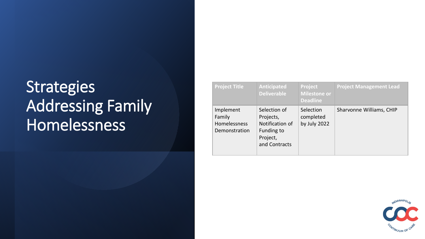# **Strategies** Addressing Family **Homelessness**

| <b>Project Title</b>                                 | <b>Anticipated</b><br><b>Deliverable</b>                                                | Project<br><b>Milestone or</b><br><b>Deadline</b> | <b>Project Management Lead</b> |
|------------------------------------------------------|-----------------------------------------------------------------------------------------|---------------------------------------------------|--------------------------------|
| Implement<br>Family<br>Homelessness<br>Demonstration | Selection of<br>Projects,<br>Notification of<br>Funding to<br>Project,<br>and Contracts | Selection<br>completed<br>by July 2022            | Sharvonne Williams, CHIP       |

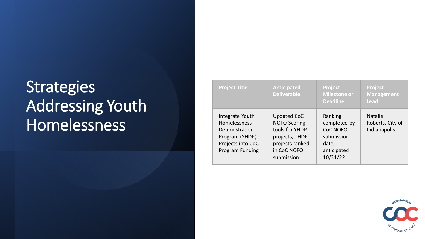# **Strategies** Addressing Youth Homelessness

| <b>Project Title</b>                                                                                              | <b>Anticipated</b><br><b>Deliverable</b>                                                                                      | Project<br>Milestone or<br><b>Deadline</b>                                                   | Project<br><b>Management</b><br><b>Lead</b>        |
|-------------------------------------------------------------------------------------------------------------------|-------------------------------------------------------------------------------------------------------------------------------|----------------------------------------------------------------------------------------------|----------------------------------------------------|
| Integrate Youth<br>Homelessness<br>Demonstration<br>Program (YHDP)<br>Projects into CoC<br><b>Program Funding</b> | <b>Updated CoC</b><br><b>NOFO Scoring</b><br>tools for YHDP<br>projects, THDP<br>projects ranked<br>in CoC NOFO<br>submission | Ranking<br>completed by<br><b>CoC NOFO</b><br>submission<br>date,<br>anticipated<br>10/31/22 | <b>Natalie</b><br>Roberts, City of<br>Indianapolis |